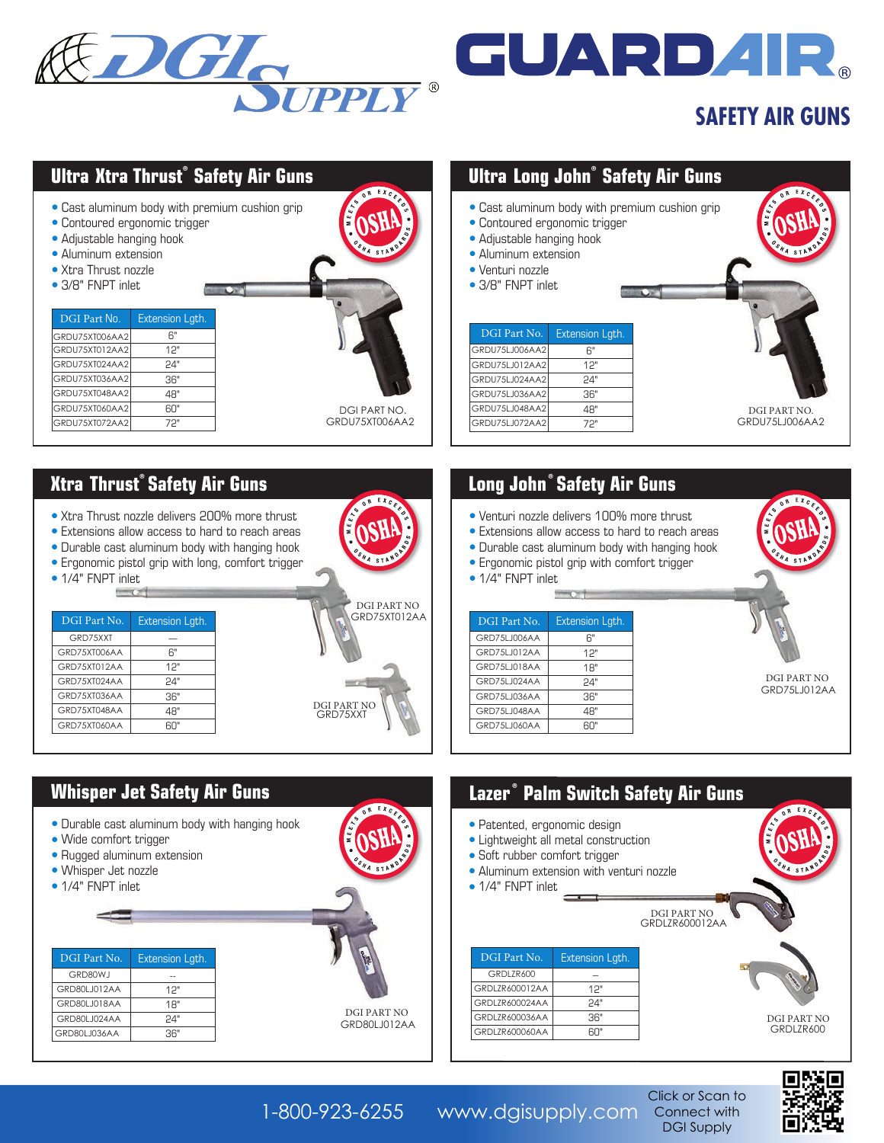



# **SAFETY AIR GUNS**



#### **Xtra Thrust® Safety Air Guns**

- Xtra Thrust nozzle delivers 200% more thrust
- **Extensions allow access to hard to reach areas**
- **Durable cast aluminum body with hanging hook**
- **•** Ergonomic pistol grip with long, comfort trigger
- $\bullet$  1/4" FNPT inlet

| DGI Part No. | Extension Lgth. |
|--------------|-----------------|
| GRD75XXT     |                 |
| GRD75XT006AA | հ"              |
| GRD75XT012AA | 12"             |
| GRD75XT024AA | 24"             |
| GRD75XT036AA | 36"             |
| GRD75XT048AA | 48"             |
| GRD75XT060AA | БΠ"             |



## **Long John ® Safety Air Guns**

- Venturi nozzle delivers 100% more thrust
- **•** Extensions allow access to hard to reach areas
- **Durable cast aluminum body with hanging hook**
- **Ergonomic pistol grip with comfort trigger**
- $\bullet$  1/4" FNPT inlet

| DGI Part No. | Extension Lath. |
|--------------|-----------------|
| GRD75LJ006AA | 6"              |
| GRD75LI012AA | 12"             |
| GRD75LI018AA | 18"             |
| GRD75LJ024AA | 74"             |
| GRD75LJ036AA | 36"             |
| GRD75LJ048AA | 48"             |
| GRD75LJ060AA |                 |



| DGI PART NO  |  |
|--------------|--|
| GRD75LJ012AA |  |

| • Patented, ergonomic design<br>• Lightweight all metal construction<br>• Soft rubber comfort trigger<br>• Aluminum extension with venturi nozzle<br>$\bullet$ 1/4" FNPT inlet |                 | <b>Lazer<sup>®</sup> Palm Switch Safety Air Guns</b><br>SHA STAND<br><b>DGI PART NO</b><br>GRDLZR600012AA |
|--------------------------------------------------------------------------------------------------------------------------------------------------------------------------------|-----------------|-----------------------------------------------------------------------------------------------------------|
| DGI Part No.                                                                                                                                                                   | Extension Lgth. |                                                                                                           |
| <b>GRDI 7R600</b>                                                                                                                                                              |                 |                                                                                                           |
| GRDLZR600012AA                                                                                                                                                                 | 12"             |                                                                                                           |
| GRDLZR600024AA                                                                                                                                                                 | 24"             |                                                                                                           |
| GRDLZR600036AA                                                                                                                                                                 | 36"             | DGI PART NO                                                                                               |
| GRDLZR600060AA                                                                                                                                                                 | 60"             | GRDLZR600                                                                                                 |

#### **Whisper Jet Safety Air Guns**

- Durable cast aluminum body with hanging hook
- Wide comfort trigger
- Rugged aluminum extension
- Whisper Jet nozzle
- $\bullet$  1/4" FNPT inlet

| DGI Part No. | Extension Lath. |
|--------------|-----------------|
| GRD80W.I     |                 |
| GRD80LI012AA | 12"             |
| GRD80LI018AA | 1R"             |
| GRD80LI024AA | "24             |
| GRD80LJ036AA | 36"             |

DGI PART NO GRD80LJ012AA

1-800-923-6255 www.dgisupply.com Connect with

Click or Scan to DGI Supply